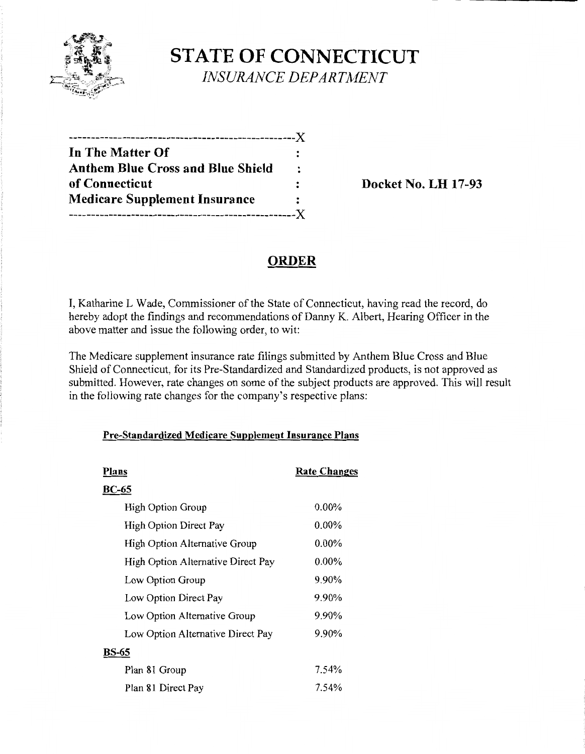

# **STATE OF CONNECTICUT**  *INSURANCE DEPARTMENT*

| -----------------X                       |                      |
|------------------------------------------|----------------------|
| In The Matter Of                         |                      |
| <b>Anthem Blue Cross and Blue Shield</b> | $\ddot{\phantom{a}}$ |
| of Connecticut                           |                      |
| <b>Medicare Supplement Insurance</b>     |                      |
|                                          |                      |

**Docket No. LH 17-93** 

# **ORDER**

I, Katharine L Wade, Commissioner of the State of Connecticut, having read the record, do hereby adopt the findings and recommendations of Danny K. Albert, Hearing Officer in the above matter and issue the following order, to wit:

The Medicare supplement insurance rate filings submitted by Anthem Blue Cross and Blue Shield of Connecticut, for its Pre-Standardized and Standardized products, is not approved as submitted. However, rate changes on some of the subject products are approved. This will result in the following rate changes for the company's respective plans:

## **Pre-Standardized Medicare Supplement Insurance Plans**

| Plans                              | <b>Rate Changes</b> |
|------------------------------------|---------------------|
| <b>BC-65</b>                       |                     |
| High Option Group                  | $0.00\%$            |
| High Option Direct Pay             | $0.00\%$            |
| High Option Alternative Group      | $0.00\%$            |
| High Option Alternative Direct Pay | $0.00\%$            |
| Low Option Group                   | 9.90%               |
| Low Option Direct Pay              | 9.90%               |
| Low Option Alternative Group       | 9.90%               |
| Low Option Alternative Direct Pay  | 9.90%               |
| BS-65                              |                     |
| Plan 81 Group                      | 7.54%               |
| Plan 81 Direct Pay                 | 7.54%               |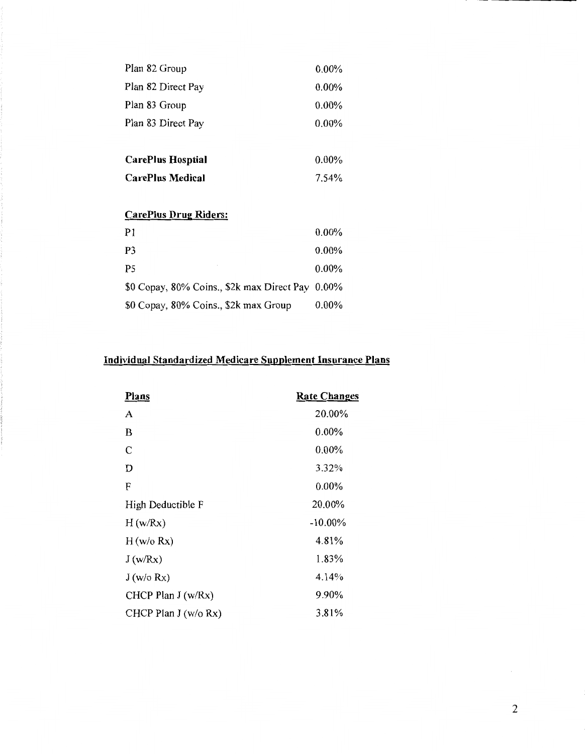| Plan 82 Group            | $0.00\%$ |
|--------------------------|----------|
| Plan 82 Direct Pay       | $0.00\%$ |
| Plan 83 Group            | $0.00\%$ |
| Plan 83 Direct Pay       | $0.00\%$ |
|                          |          |
| <b>CarePlus Hosptial</b> | $0.00\%$ |
| <b>CarePlus Medical</b>  | 7.54%    |
|                          |          |

## **CarePius Drug Riders:**

| P1                                               | $0.00\%$ |
|--------------------------------------------------|----------|
| P <sub>3</sub>                                   | $0.00\%$ |
| P <sub>5</sub>                                   | $0.00\%$ |
| \$0 Copay, 80% Coins., \$2k max Direct Pay 0.00% |          |
| \$0 Copay, 80% Coins., \$2k max Group            | $0.00\%$ |

## **Individual Standardized Medicare Supplement Insurance Plans**

| Plans                 | <b>Rate Changes</b> |
|-----------------------|---------------------|
| A                     | 20.00%              |
| B                     | $0.00\%$            |
| C                     | $0.00\%$            |
| D                     | 3.32%               |
| F                     | 0.00%               |
| High Deductible F     | 20.00%              |
| H(w/Rx)               | $-10.00\%$          |
| H (w/o Rx)            | 4.81%               |
| J(w/Rx)               | 1.83%               |
| J(w/o Rx)             | 4.14%               |
| CHCP Plan J (w/Rx)    | 9.90%               |
| CHCP Plan $J(w/o Rx)$ | 3.81%               |

 $\epsilon$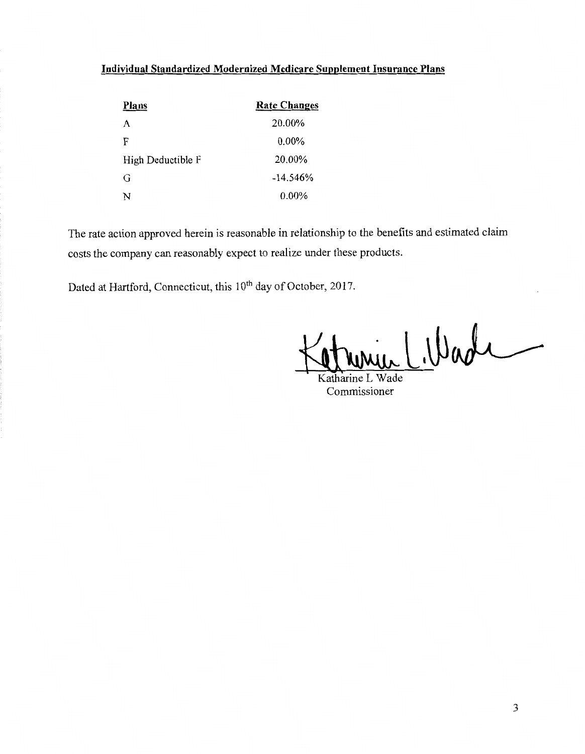# **Individual Standardized Modernized Medicare Supplement Insurance Plans**

| Plans             | <b>Rate Changes</b> |
|-------------------|---------------------|
| A                 | 20.00%              |
| F                 | $0.00\%$            |
| High Deductible F | 20.00%              |
| G                 | $-14.546%$          |
| N                 | $0.00\%$            |

The rate action approved herein is reasonable in relationship to the benefits and estimated claim costs the company can reasonably expect to realize under these products.

Dated at Hartford, Connecticut, this 10<sup>th</sup> day of October, 2017.

Katharine L Wade

Commissioner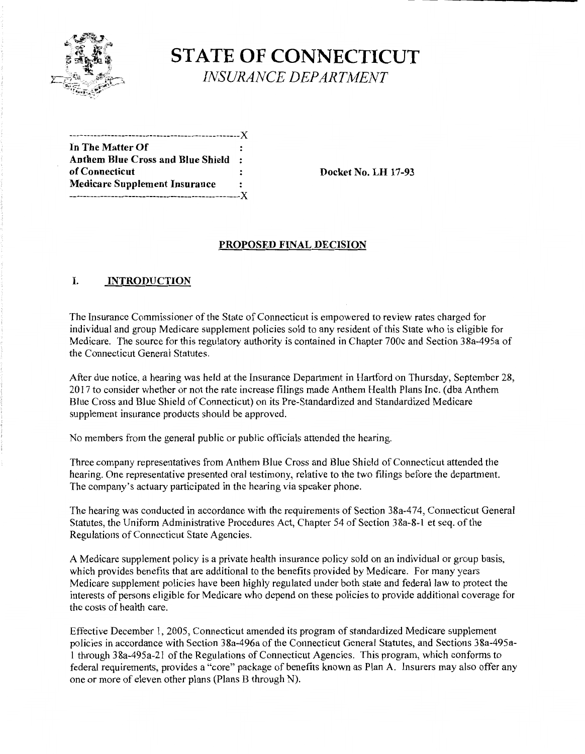

# **STATE OF CONNECTICUT**  *INSURANCE DEPARTMENT*

| In The Matter Of                         |           |
|------------------------------------------|-----------|
| <b>Anthem Blue Cross and Blue Shield</b> | $\bullet$ |
| of Connecticut                           |           |
| <b>Medicare Supplement Insurance</b>     | ٠         |
|                                          |           |
|                                          |           |

Docket No. LH 17-93

## PROPOSED FINAL DECISION

## I. INTRODUCTION

The Insurance Commissioner of the State of Connecticut is empowered to review rates charged for individual and group Medicare supplement policies sold to any resident of this State who is eligible for Medicare. The source for this regulatory authority is contained in Chapter 700c and Section 3 8a-495a of the Connecticut General Statutes.

After due notice, a hearing was held at the Insurance Department in Hartford on Thursday, September 28, 2017 to consider whether or not the rate increase filings made Anthem Health Plans Inc. (dba Anthem Blue Cross and Blue Shield of Connecticut) on its Pre-Standardized and Standardized Medicare supplement insurance products should be approved.

No members from the general public or public officials attended the hearing.

Three company representatives from Anthem Blue Cross and Blue Shield of Connecticut attended the hearing. One representative presented oral testimony, relative to the two filings before the department. The company's actuary participated in the hearing via speaker phone.

The hearing was conducted in accordance with the requirements of Section 38a-474, Connecticut General Statutes, the Uniform Administrative Procedures Act, Chapter 54 of Section 38a-8-1 et seq. of the Regulations of Connecticut State Agencies.

A Medicare supplement policy is a private health insurance policy sold on an individual or group basis, which provides benefits that are additional to the benefits provided by Medicare. For many years Medicare supplement policies have been highly regulated under both state and federal law to protect the interests of persons eligible for Medicare who depend on these policies to provide additional coverage for the costs of health care.

Effective December I, 2005, Connecticut amended its program of standardized Medicare supplement policies in accordance with Section 38a-496a of the Connecticut General Statutes, and Sections 38a-495a-I through 38a-495a-2I of the Regulations of Connecticut Agencies. This program, which conforms to federal requirements, provides a "core" package of benefits known as Plan A. Insurers may also offer any one or more of eleven other plans (Plans B through N).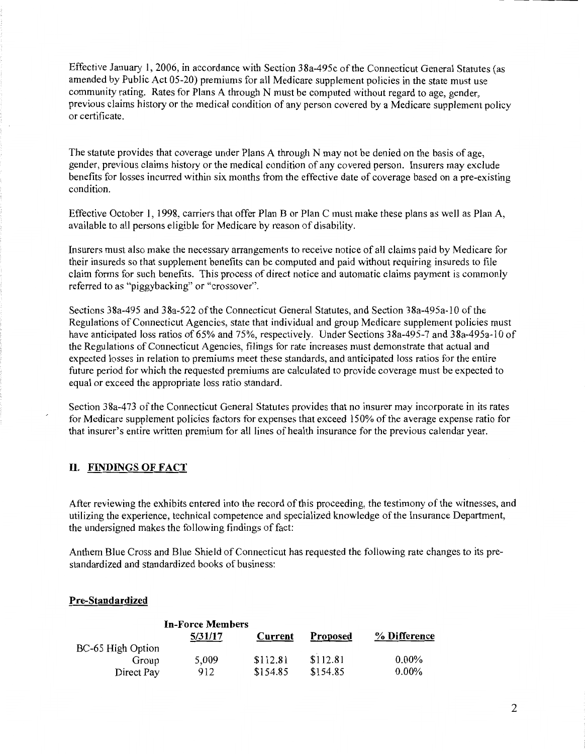Effective January 1, 2006, in accordance with Section 38a-495c of the Connecticut General Statutes (as amended by Public Act 05-20) premiums for all Medicare supplement policies in the state must use community rating. Rates for Plans A through N must be computed without regard to age, gender, previous claims history or the medical condition of any person covered by a Medicare supplement policy or certificate.

The statute provides that coverage under Plans A through N may not be denied on the basis of age, gender, previous claims history or the medical condition of any covered person. Insurers may exclude benefits for losses incurred within six months from the effective date of coverage based on a pre-existing condition.

Effective October 1, 1998, carriers that offer Plan B or Plan C must make these plans as well as Plan A, available to all persons eligible for Medicare by reason of disability.

Insurers must also make the necessary arrangements to receive notice of all claims paid by Medicare for their insureds so that supplement benefits can be computed and paid without requiring insureds to file claim forms for such benefits. This process of direct notice and automatic claims payment is commonly referred to as "piggybacking" or "crossover".

Sections 38a-495 and 38a-522 of the Connecticut General Statutes, and Section 38a-495a-10 of the Regulations of Connecticut Agencies, state that individual and group Medicare supplement policies must have anticipated loss ratios of 65% and 75%, respectively. Under Sections 38a-495-7 and 38a-495a-10 of the Regulations of Connecticut Agencies, filings for rate increases must demonstrate that actual and expected losses in relation to premiums meet these standards, and anticipated loss ratios for the entire future period for which the requested premiums are calculated to provide coverage must be expected to equal or exceed the appropriate loss ratio standard.

Section 3 8a-4 73 of the Connecticut General Statutes provides that no insurer may incorporate in its rates for Medicare supplement policies factors for expenses that exceed 150% of the average expense ratio for that insurer's entire written premium for all lines of health insurance for the previous calendar year.

### **II. FINDINGS OF FACT**

After reviewing the exhibits entered into the record of this proceeding, the testimony of the witnesses, and utilizing the experience, technical competence and specialized knowledge of the Insurance Department, the undersigned makes the following findings of fact:

Anthem Blue Cross and Blue Shield of Connecticut has requested the following rate changes to its prestandardized and standardized books of business:

#### **Pre-Standardized**

|                   | <b>In-Force Members</b> |          |                 |              |
|-------------------|-------------------------|----------|-----------------|--------------|
|                   | 5/31/17                 | Current  | <b>Proposed</b> | % Difference |
| BC-65 High Option |                         |          |                 |              |
| Group             | 5,009                   | \$112.81 | \$112.81        | $0.00\%$     |
| Direct Pay        | 912                     | \$154.85 | \$154.85        | $0.00\%$     |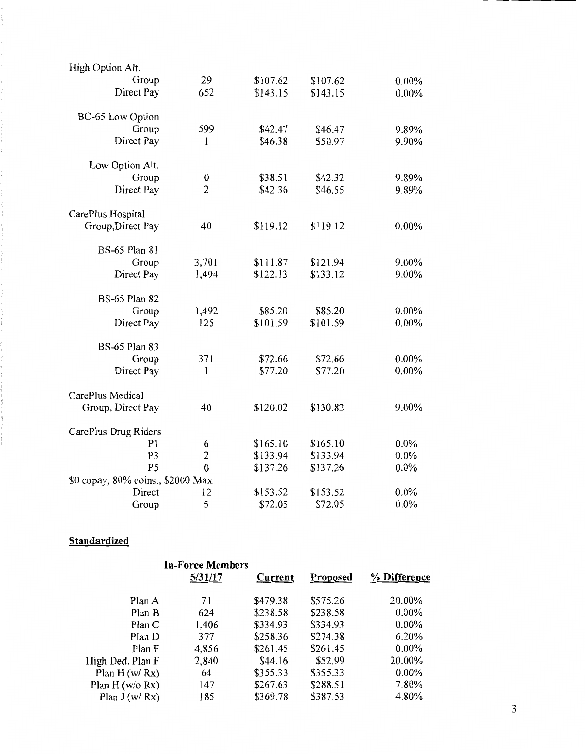| High Option Alt.                  |                  |          |          |         |
|-----------------------------------|------------------|----------|----------|---------|
| Group                             | 29               | \$107.62 | \$107.62 | 0.00%   |
| Direct Pay                        | 652              | \$143.15 | \$143.15 | 0.00%   |
|                                   |                  |          |          |         |
| BC-65 Low Option                  |                  |          |          |         |
| Group                             | 599              | \$42.47  | \$46.47  | 9.89%   |
| Direct Pay                        | 1                | \$46.38  | \$50.97  | 9.90%   |
|                                   |                  |          |          |         |
| Low Option Alt.                   |                  |          |          |         |
| Group                             | $\boldsymbol{0}$ | \$38.51  | \$42.32  | 9.89%   |
| Direct Pay                        | $\overline{2}$   | \$42.36  | \$46.55  | 9.89%   |
|                                   |                  |          |          |         |
| CarePlus Hospital                 |                  |          |          |         |
| Group, Direct Pay                 | 40               | \$119.12 | \$119.12 | 0.00%   |
|                                   |                  |          |          |         |
| <b>BS-65 Plan 81</b>              |                  |          |          |         |
| Group                             | 3,701            | \$111.87 | \$121.94 | 9.00%   |
| Direct Pay                        | 1,494            | \$122.13 | \$133.12 | 9.00%   |
|                                   |                  |          |          |         |
| <b>BS-65 Plan 82</b>              |                  |          |          |         |
| Group                             | 1,492            | \$85.20  | \$85.20  | 0.00%   |
| Direct Pay                        | 125              | \$101.59 | \$101.59 | 0.00%   |
| <b>BS-65 Plan 83</b>              |                  |          |          |         |
|                                   |                  |          |          |         |
| Group                             | 371              | \$72.66  | \$72.66  | 0.00%   |
| Direct Pay                        | 1                | \$77.20  | \$77.20  | 0.00%   |
| CarePlus Medical                  |                  |          |          |         |
|                                   | 40               | \$120.02 | \$130.82 | 9.00%   |
| Group, Direct Pay                 |                  |          |          |         |
| CarePlus Drug Riders              |                  |          |          |         |
| P <sub>1</sub>                    | 6                | \$165.10 | \$165.10 | 0.0%    |
| P <sub>3</sub>                    | $\overline{c}$   | \$133.94 | \$133.94 | 0.0%    |
| P <sub>5</sub>                    | $\theta$         | \$137.26 | \$137.26 | $0.0\%$ |
| \$0 copay, 80% coins., \$2000 Max |                  |          |          |         |
| Direct                            | 12               | \$153.52 | \$153.52 | 0.0%    |
|                                   | 5                | \$72.05  | \$72.05  | 0.0%    |
| Group                             |                  |          |          |         |

## **Standardized**

| <b>In-Force Members</b> |          |          |              |
|-------------------------|----------|----------|--------------|
| 5/31/17                 | Current  | Proposed | % Difference |
|                         |          |          |              |
|                         |          |          | 20.00%       |
| 624                     | \$238.58 | \$238.58 | $0.00\%$     |
| 1,406                   | \$334.93 | \$334.93 | $0.00\%$     |
| 377                     | \$258.36 | \$274.38 | 6.20%        |
| 4,856                   | \$261.45 | \$261.45 | $0.00\%$     |
| 2,840                   | \$44.16  | \$52.99  | 20.00%       |
| 64                      | \$355.33 | \$355.33 | $0.00\%$     |
| 147                     | \$267.63 | \$288.51 | 7.80%        |
| 185                     | \$369.78 | \$387.53 | 4.80%        |
|                         | 71       | \$479.38 | \$575.26     |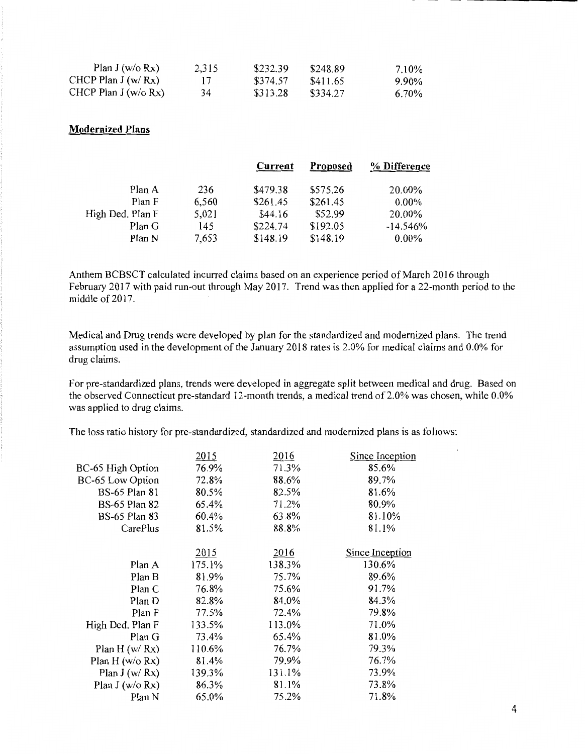| Plan J (w/o $Rx$ )    | 2.315 | \$232.39 | \$248.89 | 7.10% |
|-----------------------|-------|----------|----------|-------|
| CHCP Plan $J(w/Rx)$   | 17    | \$374.57 | \$411.65 | 9.90% |
| CHCP Plan $J(w/o Rx)$ | 34    | \$313.28 | \$334.27 | 6.70% |

### **Modernized Plans**

| Current  | <b>Proposed</b> | % Difference |
|----------|-----------------|--------------|
| \$479.38 | \$575.26        | 20.00%       |
| \$261.45 | \$261.45        | $0.00\%$     |
| \$44.16  | \$52.99         | 20.00%       |
| \$224.74 | \$192.05        | $-14.546%$   |
| \$148.19 | \$148.19        | $0.00\%$     |
|          |                 |              |

Anthem BCBSCT calculated incurred claims based on an experience period of March 2016 through February 2017 with paid run-out through May 2017. Trend was then applied for a 22-month period to the middle of 2017.

Medical and Drug trends were developed by plan for the standardized and modernized plans. The trend assumption used in the development of the January 2018 rates is 2.0% for medical claims and 0.0% for drug claims.

For pre-standardized plans, trends were developed in aggregate split between medical and drug. Based on the observed Connecticut pre-standard 12-month trends, a medical trend of 2.0% was chosen, while 0.0% was applied to drug claims.

The loss ratio history for pre-standardized, standardized and modernized plans is as follows:

| 2015   | 2016   | Since Inception |
|--------|--------|-----------------|
| 76.9%  | 71.3%  | 85.6%           |
| 72.8%  | 88.6%  | 89.7%           |
| 80.5%  | 82.5%  | 81.6%           |
| 65.4%  | 71.2%  | 80.9%           |
| 60.4%  | 63.8%  | 81.10%          |
| 81.5%  | 88.8%  | 81.1%           |
|        |        |                 |
| 2015   | 2016   | Since Inception |
| 175.1% | 138.3% | 130.6%          |
| 81.9%  | 75.7%  | 89.6%           |
| 76.8%  | 75.6%  | 91.7%           |
| 82.8%  | 84.0%  | 84.3%           |
| 77.5%  | 72.4%  | 79.8%           |
| 133.5% | 113.0% | 71.0%           |
| 73.4%  | 65.4%  | 81.0%           |
| 110.6% | 76.7%  | 79.3%           |
| 81.4%  | 79.9%  | 76.7%           |
| 139.3% | 131.1% | 73.9%           |
| 86.3%  | 81.1%  | 73.8%           |
| 65.0%  | 75.2%  | 71.8%           |
|        |        |                 |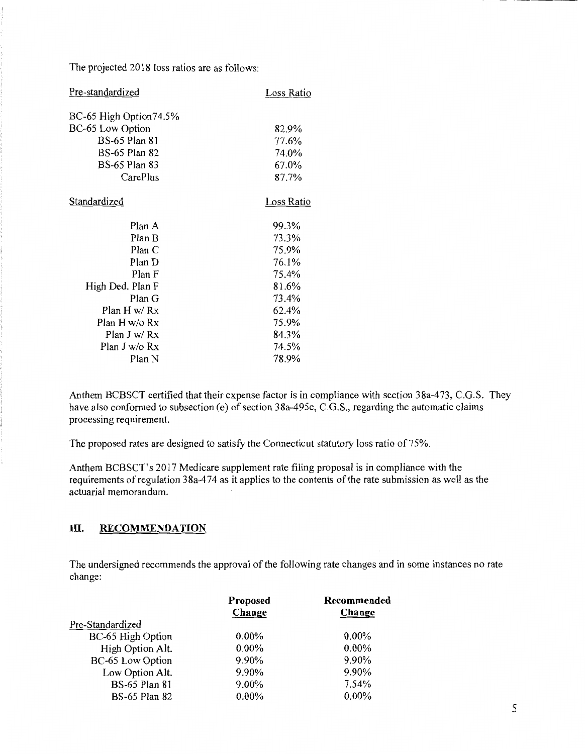The projected 2018 loss ratios are as follows:

| Pre-standardized       | Loss Ratio |
|------------------------|------------|
| BC-65 High Option74.5% |            |
| BC-65 Low Option       | 82.9%      |
| <b>BS-65 Plan 81</b>   | 77.6%      |
| <b>BS-65 Plan 82</b>   | 74.0%      |
| <b>BS-65 Plan 83</b>   | 67.0%      |
| CarePlus               | 87.7%      |
| <b>Standardized</b>    | Loss Ratio |
| Plan A                 | 99.3%      |
| Plan B                 | 73.3%      |
| Plan C                 | 75.9%      |
| Plan D                 | 76.1%      |
| Plan F                 | 75.4%      |
| High Ded. Plan F       | 81.6%      |
| Plan G                 | 73.4%      |
| Plan H w/ Rx           | 62.4%      |
| Plan H w/o Rx          | 75.9%      |
| Plan J w/ Rx           | 84.3%      |
| Plan J w/o Rx          | 74.5%      |
| Plan N                 | 78.9%      |
|                        |            |

Anthem BCBSCT certified that their expense factor is in compliance with section 38a-473, C.G.S. They have also conformed to subsection (e) of section 38a-495c, C.G.S., regarding the automatic claims processing requirement.

The proposed rates are designed to satisfy the Connecticut statutory loss ratio of 75%.

Anthem BCBSCT's 2017 Medicare supplement rate filing proposal is in compliance with the requirements of regulation 38a-474 as it applies to the contents of the rate submission as well as the actuarial memorandum.

#### III. **RECOMMENDATION**

The undersigned recommends the approval of the following rate changes and in some instances no rate change:

|                      | Proposed<br>Change | Recommended<br>Change |
|----------------------|--------------------|-----------------------|
| Pre-Standardized     |                    |                       |
| BC-65 High Option    | $0.00\%$           | $0.00\%$              |
| High Option Alt.     | $0.00\%$           | $0.00\%$              |
| BC-65 Low Option     | 9.90%              | 9.90%                 |
| Low Option Alt.      | 9.90%              | 9.90%                 |
| <b>BS-65 Plan 81</b> | 9.00%              | 7.54%                 |
| <b>BS-65 Plan 82</b> | $0.00\%$           | $0.00\%$              |
|                      |                    |                       |